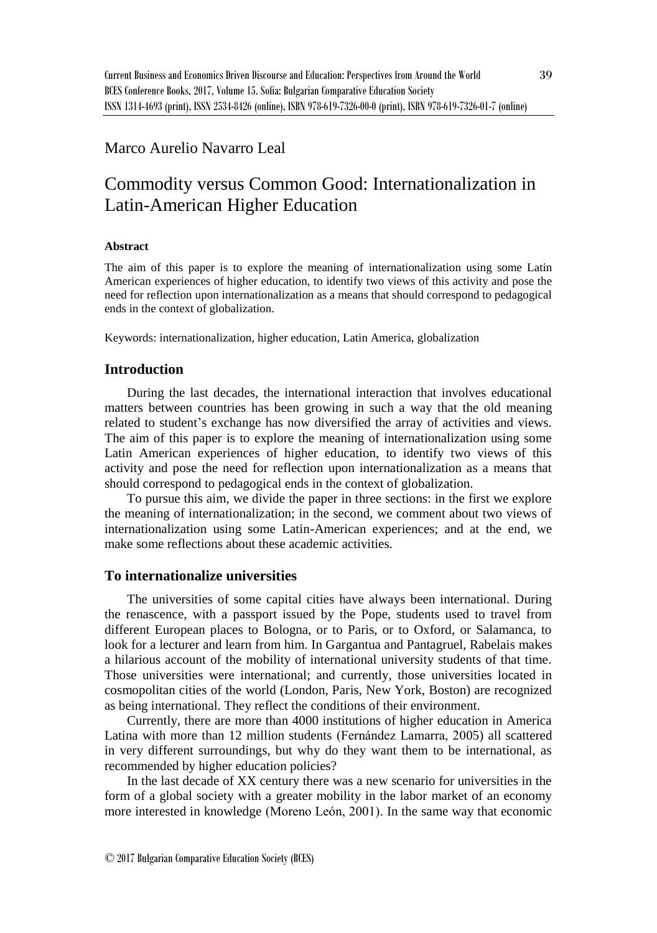# Marco Aurelio Navarro Leal

# Commodity versus Common Good: Internationalization in Latin-American Higher Education

#### **Abstract**

The aim of this paper is to explore the meaning of internationalization using some Latin American experiences of higher education, to identify two views of this activity and pose the need for reflection upon internationalization as a means that should correspond to pedagogical ends in the context of globalization.

Keywords: internationalization, higher education, Latin America, globalization

## **Introduction**

During the last decades, the international interaction that involves educational matters between countries has been growing in such a way that the old meaning related to student's exchange has now diversified the array of activities and views. The aim of this paper is to explore the meaning of internationalization using some Latin American experiences of higher education, to identify two views of this activity and pose the need for reflection upon internationalization as a means that should correspond to pedagogical ends in the context of globalization.

To pursue this aim, we divide the paper in three sections: in the first we explore the meaning of internationalization; in the second, we comment about two views of internationalization using some Latin-American experiences; and at the end, we make some reflections about these academic activities.

### **To internationalize universities**

The universities of some capital cities have always been international. During the renascence, with a passport issued by the Pope, students used to travel from different European places to Bologna, or to Paris, or to Oxford, or Salamanca, to look for a lecturer and learn from him. In Gargantua and Pantagruel, Rabelais makes a hilarious account of the mobility of international university students of that time. Those universities were international; and currently, those universities located in cosmopolitan cities of the world (London, Paris, New York, Boston) are recognized as being international. They reflect the conditions of their environment.

Currently, there are more than 4000 institutions of higher education in America Latina with more than 12 million students (Fernández Lamarra, 2005) all scattered in very different surroundings, but why do they want them to be international, as recommended by higher education policies?

In the last decade of XX century there was a new scenario for universities in the form of a global society with a greater mobility in the labor market of an economy more interested in knowledge (Moreno León, 2001). In the same way that economic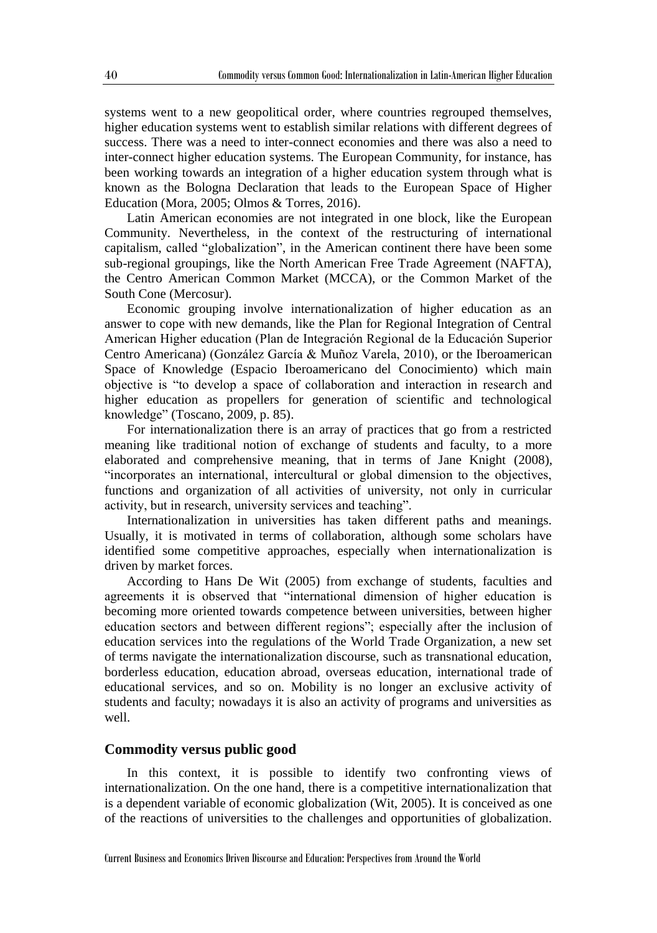systems went to a new geopolitical order, where countries regrouped themselves, higher education systems went to establish similar relations with different degrees of success. There was a need to inter-connect economies and there was also a need to inter-connect higher education systems. The European Community, for instance, has been working towards an integration of a higher education system through what is known as the Bologna Declaration that leads to the European Space of Higher Education (Mora, 2005; Olmos & Torres, 2016).

Latin American economies are not integrated in one block, like the European Community. Nevertheless, in the context of the restructuring of international capitalism, called "globalization", in the American continent there have been some sub-regional groupings, like the North American Free Trade Agreement (NAFTA), the Centro American Common Market (MCCA), or the Common Market of the South Cone (Mercosur).

Economic grouping involve internationalization of higher education as an answer to cope with new demands, like the Plan for Regional Integration of Central American Higher education (Plan de Integración Regional de la Educación Superior Centro Americana) (González García & Muñoz Varela, 2010), or the Iberoamerican Space of Knowledge (Espacio Iberoamericano del Conocimiento) which main objective is "to develop a space of collaboration and interaction in research and higher education as propellers for generation of scientific and technological knowledge" (Toscano, 2009, p. 85).

For internationalization there is an array of practices that go from a restricted meaning like traditional notion of exchange of students and faculty, to a more elaborated and comprehensive meaning, that in terms of Jane Knight (2008), "incorporates an international, intercultural or global dimension to the objectives, functions and organization of all activities of university, not only in curricular activity, but in research, university services and teaching".

Internationalization in universities has taken different paths and meanings. Usually, it is motivated in terms of collaboration, although some scholars have identified some competitive approaches, especially when internationalization is driven by market forces.

According to Hans De Wit (2005) from exchange of students, faculties and agreements it is observed that "international dimension of higher education is becoming more oriented towards competence between universities, between higher education sectors and between different regions"; especially after the inclusion of education services into the regulations of the World Trade Organization, a new set of terms navigate the internationalization discourse, such as transnational education, borderless education, education abroad, overseas education, international trade of educational services, and so on. Mobility is no longer an exclusive activity of students and faculty; nowadays it is also an activity of programs and universities as well.

#### **Commodity versus public good**

In this context, it is possible to identify two confronting views of internationalization. On the one hand, there is a competitive internationalization that is a dependent variable of economic globalization (Wit, 2005). It is conceived as one of the reactions of universities to the challenges and opportunities of globalization.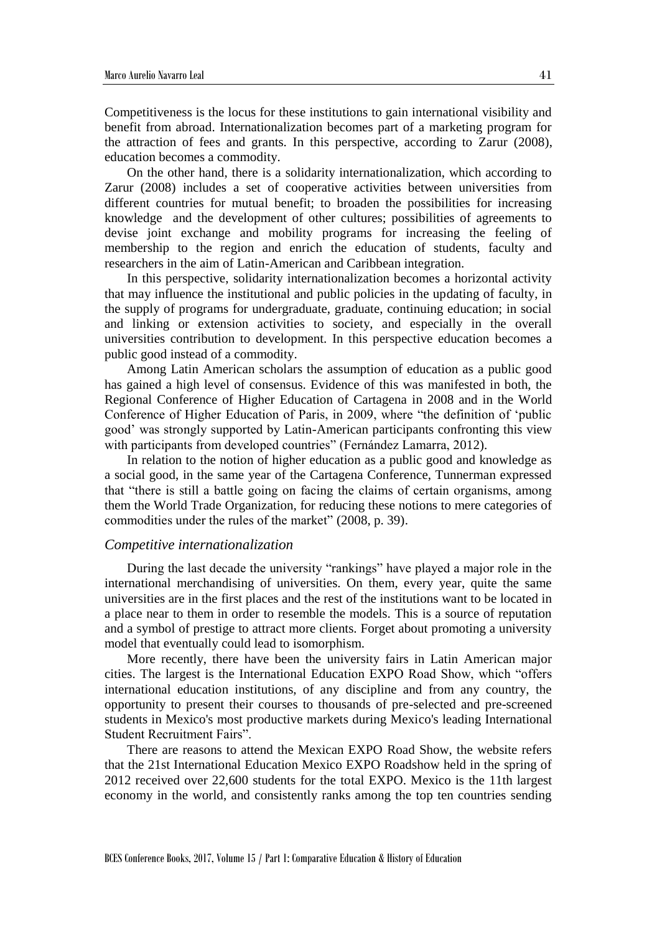Competitiveness is the locus for these institutions to gain international visibility and benefit from abroad. Internationalization becomes part of a marketing program for the attraction of fees and grants. In this perspective, according to Zarur (2008), education becomes a commodity.

On the other hand, there is a solidarity internationalization, which according to Zarur (2008) includes a set of cooperative activities between universities from different countries for mutual benefit; to broaden the possibilities for increasing knowledge and the development of other cultures; possibilities of agreements to devise joint exchange and mobility programs for increasing the feeling of membership to the region and enrich the education of students, faculty and researchers in the aim of Latin-American and Caribbean integration.

In this perspective, solidarity internationalization becomes a horizontal activity that may influence the institutional and public policies in the updating of faculty, in the supply of programs for undergraduate, graduate, continuing education; in social and linking or extension activities to society, and especially in the overall universities contribution to development. In this perspective education becomes a public good instead of a commodity.

Among Latin American scholars the assumption of education as a public good has gained a high level of consensus. Evidence of this was manifested in both, the Regional Conference of Higher Education of Cartagena in 2008 and in the World Conference of Higher Education of Paris, in 2009, where "the definition of 'public good' was strongly supported by Latin-American participants confronting this view with participants from developed countries" (Fernández Lamarra, 2012).

In relation to the notion of higher education as a public good and knowledge as a social good, in the same year of the Cartagena Conference, Tunnerman expressed that "there is still a battle going on facing the claims of certain organisms, among them the World Trade Organization, for reducing these notions to mere categories of commodities under the rules of the market" (2008, p. 39).

#### *Competitive internationalization*

During the last decade the university "rankings" have played a major role in the international merchandising of universities. On them, every year, quite the same universities are in the first places and the rest of the institutions want to be located in a place near to them in order to resemble the models. This is a source of reputation and a symbol of prestige to attract more clients. Forget about promoting a university model that eventually could lead to isomorphism.

More recently, there have been the university fairs in Latin American major cities. The largest is the International Education EXPO Road Show, which "offers international education institutions, of any discipline and from any country, the opportunity to present their courses to thousands of pre-selected and pre-screened students in Mexico's most productive markets during Mexico's leading International Student Recruitment Fairs".

There are reasons to attend the Mexican EXPO Road Show, the website refers that the 21st International Education Mexico EXPO Roadshow held in the spring of 2012 received over 22,600 students for the total EXPO. Mexico is the 11th largest economy in the world, and consistently ranks among the top ten countries sending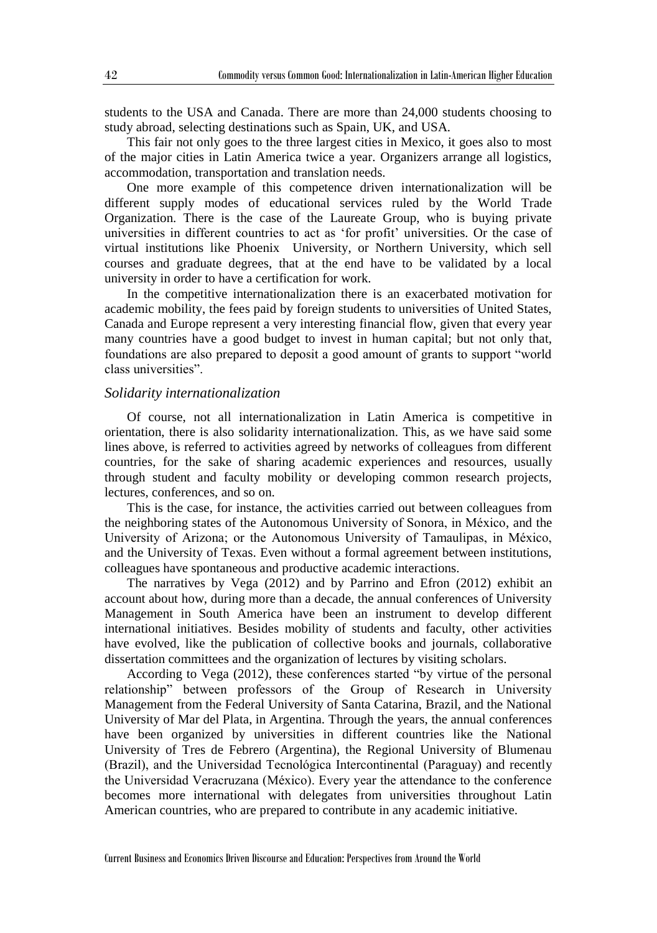students to the USA and Canada. There are more than 24,000 students choosing to study abroad, selecting destinations such as Spain, UK, and USA.

This fair not only goes to the three largest cities in Mexico, it goes also to most of the major cities in Latin America twice a year. Organizers arrange all logistics, accommodation, transportation and translation needs.

One more example of this competence driven internationalization will be different supply modes of educational services ruled by the World Trade Organization. There is the case of the Laureate Group, who is buying private universities in different countries to act as 'for profit' universities. Or the case of virtual institutions like Phoenix University, or Northern University, which sell courses and graduate degrees, that at the end have to be validated by a local university in order to have a certification for work.

In the competitive internationalization there is an exacerbated motivation for academic mobility, the fees paid by foreign students to universities of United States, Canada and Europe represent a very interesting financial flow, given that every year many countries have a good budget to invest in human capital; but not only that, foundations are also prepared to deposit a good amount of grants to support "world class universities".

#### *Solidarity internationalization*

Of course, not all internationalization in Latin America is competitive in orientation, there is also solidarity internationalization. This, as we have said some lines above, is referred to activities agreed by networks of colleagues from different countries, for the sake of sharing academic experiences and resources, usually through student and faculty mobility or developing common research projects, lectures, conferences, and so on.

This is the case, for instance, the activities carried out between colleagues from the neighboring states of the Autonomous University of Sonora, in México, and the University of Arizona; or the Autonomous University of Tamaulipas, in México, and the University of Texas. Even without a formal agreement between institutions, colleagues have spontaneous and productive academic interactions.

The narratives by Vega (2012) and by Parrino and Efron (2012) exhibit an account about how, during more than a decade, the annual conferences of University Management in South America have been an instrument to develop different international initiatives. Besides mobility of students and faculty, other activities have evolved, like the publication of collective books and journals, collaborative dissertation committees and the organization of lectures by visiting scholars.

According to Vega (2012), these conferences started "by virtue of the personal relationship" between professors of the Group of Research in University Management from the Federal University of Santa Catarina, Brazil, and the National University of Mar del Plata, in Argentina. Through the years, the annual conferences have been organized by universities in different countries like the National University of Tres de Febrero (Argentina), the Regional University of Blumenau (Brazil), and the Universidad Tecnológica Intercontinental (Paraguay) and recently the Universidad Veracruzana (México). Every year the attendance to the conference becomes more international with delegates from universities throughout Latin American countries, who are prepared to contribute in any academic initiative.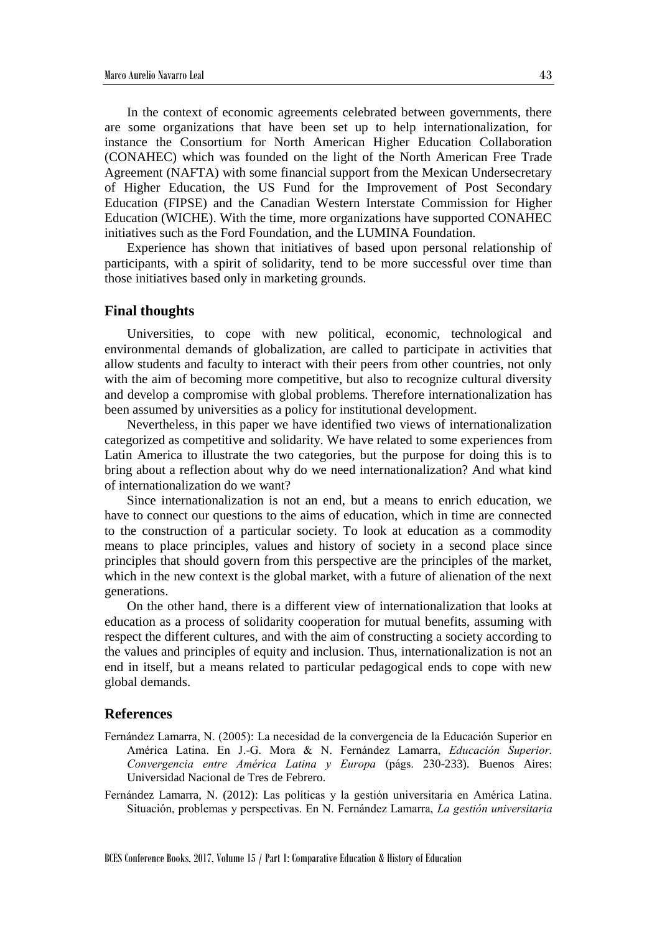In the context of economic agreements celebrated between governments, there are some organizations that have been set up to help internationalization, for instance the Consortium for North American Higher Education Collaboration (CONAHEC) which was founded on the light of the North American Free Trade Agreement (NAFTA) with some financial support from the Mexican Undersecretary of Higher Education, the US Fund for the Improvement of Post Secondary Education (FIPSE) and the Canadian Western Interstate Commission for Higher Education (WICHE). With the time, more organizations have supported CONAHEC initiatives such as the Ford Foundation, and the LUMINA Foundation.

Experience has shown that initiatives of based upon personal relationship of participants, with a spirit of solidarity, tend to be more successful over time than those initiatives based only in marketing grounds.

#### **Final thoughts**

Universities, to cope with new political, economic, technological and environmental demands of globalization, are called to participate in activities that allow students and faculty to interact with their peers from other countries, not only with the aim of becoming more competitive, but also to recognize cultural diversity and develop a compromise with global problems. Therefore internationalization has been assumed by universities as a policy for institutional development.

Nevertheless, in this paper we have identified two views of internationalization categorized as competitive and solidarity. We have related to some experiences from Latin America to illustrate the two categories, but the purpose for doing this is to bring about a reflection about why do we need internationalization? And what kind of internationalization do we want?

Since internationalization is not an end, but a means to enrich education, we have to connect our questions to the aims of education, which in time are connected to the construction of a particular society. To look at education as a commodity means to place principles, values and history of society in a second place since principles that should govern from this perspective are the principles of the market, which in the new context is the global market, with a future of alienation of the next generations.

On the other hand, there is a different view of internationalization that looks at education as a process of solidarity cooperation for mutual benefits, assuming with respect the different cultures, and with the aim of constructing a society according to the values and principles of equity and inclusion. Thus, internationalization is not an end in itself, but a means related to particular pedagogical ends to cope with new global demands.

#### **References**

- Fernández Lamarra, N. (2005): La necesidad de la convergencia de la Educación Superior en América Latina. En J.-G. Mora & N. Fernández Lamarra, *Educación Superior. Convergencia entre América Latina y Europa* (págs. 230-233). Buenos Aires: Universidad Nacional de Tres de Febrero.
- Fernández Lamarra, N. (2012): Las políticas y la gestión universitaria en América Latina. Situación, problemas y perspectivas. En N. Fernández Lamarra, *La gestión universitaria*

BCES Conference Books, 2017, Volume 15 / Part 1: Comparative Education & History of Education